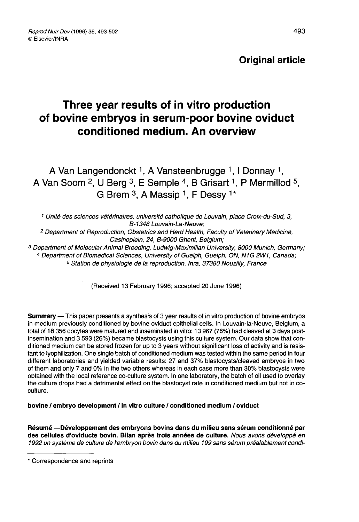# Original article

# Three year results of in vitro production of bovine embryos in serum-poor bovine oviduct conditioned medium. An overview

A Van Langendonckt<sup>1</sup>, A Vansteenbrugge <sup>1</sup>, I Donnay <sup>1</sup>, A Van Soom <sup>2</sup>, U Berg <sup>3</sup>, E Semple <sup>4</sup>, B Grisart <sup>1</sup>, P Mermillod <sup>5</sup>, G Brem  $3$ , A Massip  $1$ , F Dessy  $1*$ 

<sup>1</sup> Unité des sciences vétérinaires, université catholique de Louvain, place Croix-du-Sud, 3, B-1348 Louvain-La-Neuve;

<sup>2</sup> Department of Reproduction, Obstetrics and Herd Health, Faculty of Veterinary Medicine, Casinoplein, 24, B-9000 Ghent, Belgium;

<sup>3</sup> Department of Molecular Animal Breeding, Ludwig-Maximilian University, 8000 Munich, Germany; <sup>4</sup> Department of Biomedical Sciences, University of Guelph, Guelph, ON, N1G 2W1, Canada;

<sup>5</sup> Station de physiologie de la reproduction, Inra, 37380 Nouzilly, France

(Received 13 February 1996; accepted 20 June 1996)

Summary — This paper presents a synthesis of 3 year results of in vitro production of bovine embryos in medium previously conditioned by bovine oviduct epithelial cells. In Louvain-la-Neuve, Belgium, a total of 18 356 oocytes were matured and inseminated in vitro: 13 967 (76%) had cleaved at 3 days postinsemination and 3 593 (26%) became blastocysts using this culture system. Our data show that conditioned medium can be stored frozen for up to 3 years without significant loss of activity and is resistant to lyophilization. One single batch of conditioned medium was tested within the same period in four different laboratories and yielded variable results: 27 and 37% blastocysts/cleaved embryos in two of them and only 7 and 0% in the two others whereas in each case more than 30% blastocysts were obtained with the local reference co-culture system. In one laboratory, the batch of oil used to overlay the culture drops had a detrimental effect on the blastocyst rate in conditioned medium but not in coculture.

bovine / embryo development / in vitro culture / conditioned medium / oviduct

Résumé -- Développement des embryons bovins dans du milieu sans sérum conditionné par des cellules d'oviducte bovin. Bilan après trois années de culture. Nous avons développé en 1992 un système de culture de l'embryon bovin dans du milieu 199 sans sérum préalablement condi-

<sup>\*</sup> Correspondence and reprints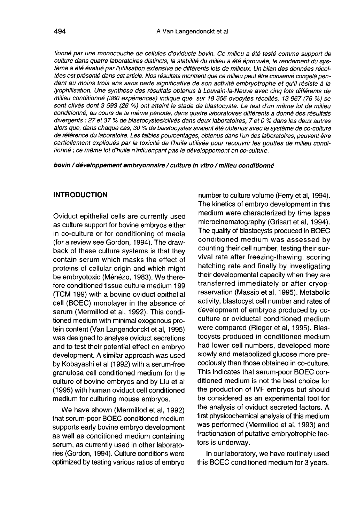tionné par une monocouche de cellules d'oviducte bovin. Ce milieu a été testé comme support de culture dans quatre laboratoires distincts, la stabilité du milieu a été éprouvée, le rendement du système a été évalué par l'utilisation extensive de différents lots de milieux. Un bilan des données récoltées est présenté dans cet article. Nos résultats montrent que ce milieu peut être conservé congelé pendant au moins trois ans sans perte significative de son activité embryotrophe et qu'il résiste à la lyophilisation. Une synthèse des résultats obtenus à Louvain-la-Neuve avec cinq lots différents de milieu conditionné (360 expériences) indique que, sur 18 356 ovocytes récoltés, 13 967 (76 %) se sont clivés dont 3 593 (26 %) ont atteint le stade de blastocyste. Le test d'un même lot de milieu conditionné, au cours de la même période, dans quatre laboratoires différents a donné des résultats divergents : 27 et 37 % de blastocystes/clivés dans deux laboratoires, 7 et 0 % dans les deux autres alors que, dans chaque cas, 30 % de blastocystes avaient été obtenus avec le système de co-colture de référence du laboratoire. Les faibles pourcentages, obtenus dans l'un des laboratoires, peuvent être partiellement expliqués par la toxicité de l'huile utilisée pour recouvrir les gouttes de milieu conditionné ; ce même lot d'huile n'influençant pas le développement en co-culture.

bovin / développement embryonnaire / culture in vitro / milieu conditionné

#### INTRODUCTION

Oviduct epithelial cells are currently used as culture support for bovine embryos either in co-culture or for conditioning of media (for a review see Gordon, 1994). The drawback of these culture systems is that they contain serum which masks the effect of proteins of cellular origin and which might be embryotoxic (M6n6zo, 1983). We therefore conditioned tissue culture medium 199 (TCM 199) with a bovine oviduct epithelial cell (BOEC) monolayer in the absence of serum (Mermillod et al, 1992). This conditioned medium with minimal exogenous protein content (Van Langendonckt et al, 1995) was designed to analyse oviduct secretions and to test their potential effect on embryo development. A similar approach was used by Kobayashi et al (1992) with a serum-free granulosa cell conditioned medium for the culture of bovine embryos and by Liu et al (1995) with human oviduct cell conditioned medium for culturing mouse embryos.

We have shown (Mermillod et al, 1992) that serum-poor BOEC conditioned medium supports early bovine embryo development as well as conditioned medium containing serum, as currently used in other laboratories (Gordon, 1994). Culture conditions were optimized by testing various ratios of embryo

number to culture volume (Ferry et al, 1994). The kinetics of embryo development in this medium were characterized by time lapse microcinematography (Grisart et al, 1994). The quality of blastocysts produced in BOEC conditioned medium was assessed by counting their cell number, testing their survival rate after freezing-thawing, scoring hatching rate and finally by investigating their developmental capacity when they are transferred immediately or after cryopreservation (Massip et al, 1995). Metabolic activity, blastocyst cell number and rates of development of embryos produced by coculture or oviductal conditioned medium were compared (Rieger et al, 1995). Blastocysts produced in conditioned medium had lower cell numbers, developed more slowly and metabolized glucose more precociously than those obtained in co-culture. This indicates that serum-poor BOEC conditioned medium is not the best choice for the production of IVF embryos but should be considered as an experimental tool for the analysis of oviduct secreted factors. A first physicochemical analysis of this medium was performed (Mermillod et al, 1993) and fractionation of putative embryotrophic factors is underway.

In our laboratory, we have routinely used this BOEC conditioned medium for 3 years.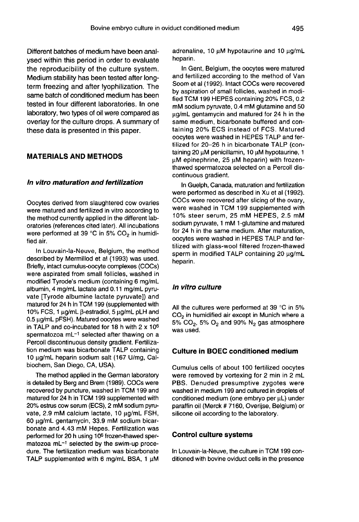Different batches of medium have been analysed within this period in order to evaluate the reproducibility of the culture system. Medium stability has been tested after longterm freezing and after lyophilization. The same batch of conditioned medium has been tested in four different laboratories. In one laboratory, two types of oil were compared as overlay for the culture drops. A summary of these data is presented in this paper.

# MATERIALS AND METHODS

# In vitro maturation and fertilization

Oocytes derived from slaughtered cow ovaries were matured and fertilized in vitro according to the method currently applied in the different laboratories (references cited later). All incubations<br>were performed at 39 °C in 5% CO<sub>2</sub> in humidified air.

In Louvain-la-Neuve, Belgium, the method described by Mermillod et al (1993) was used. Briefly, intact cumulus-oocyte complexes (COCs) were aspirated from small follicles, washed in modified Tyrode's medium (containing 6 mg/mL albumin, 4 mg/mL lactate and 0.11 mg/mL pyruvate [Tyrode albumine lactate pyruvate]) and matured for 24 h in TCM 199 (supplemented with vate [Tyrode albumine lactate pyruvate]) and<br>matured for 24 h in TCM 199 (supplemented with<br>10% FCS, 1 µg/mL β-estradiol, 5 µg/mL pLH and<br>0.5 µg/mL pFSH). Matured oocytes were washed 0.5 µg/mL pFSH). Matured oocytes were washed in TALP and co-incubated for 18 h with 2 x 106 spermatozoa mL $^{-1}$  selected after thawing on a Percoll discontinuous density gradient. Fertilization medium was bicarbonate TALP containing 10 μg/mL heparin sodium salt (167 U/mg, Calbiochem, San Diego, CA, USA).

The method applied in the German laboratory is detailed by Berg and Brem (1989). COCs were recovered by puncture, washed in TCM 199 and matured for 24 h in TCM 199 supplemented with 20% estrus cow serum (ECS), 2 mM sodium pyruvate, 2.9 mM calcium lactate, 10 ug/mL FSH, 60 pg/mL gentamycin, 33.9 mM sodium bicarbonate and 4.43 mM Hepes. Fertilization was performed for 20 h using 10<sup>6</sup> frozen-thawed spermatozoa mL<sup>-1</sup> selected by the swim-up procedure. The fertilization medium was bicarbonate TALP supplemented with 6 mg/mL BSA, 1  $\mu$ M adrenaline, 10 uM hypotaurine and 10 ug/mL heparin.

In Gent, Belgium, the oocytes were matured and fertilized according to the method of Van Soom et al (1992). Intact COCs were recovered by aspiration of small follicles, washed in modified TCM 199 HEPES containing 20% FCS, 0.2 mM sodium pyruvate, 0.4 mM glutamine and 50 ug/mL gentamycin and matured for 24 h in the same medium, bicarbonate buffered and containing 20% ECS instead of FCS. Matured oocytes were washed in HEPES TALP and fertilized for 20-26 h in bicarbonate TALP (containing 20  $\mu$ M penicillamin, 10  $\mu$ M hypotaurine, 1 uM epinephrine, 25 uM heparin) with frozenthawed spermatozoa selected on a Percoll discontinuous gradient.

In Guelph, Canada, maturation and fertilization were performed as described in Xu et al (1992). COCs were recovered after slicing of the ovary, were washed in TCM 199 supplemented with 10% steer serum, 25 mM HEPES, 2.5 mM sodium pyruvate, 1 mM 1-glutamine and matured for 24 h in the same medium. After maturation, oocytes were washed in HEPES TALP and fertilized with glass-wool filtered frozen-thawed sperm in modified TALP containing 20  $\mu$ g/mL heparin.

#### In vitro culture

All the cultures were performed at 39  $^{\circ}$ C in 5%<br>CO<sub>2</sub> in humidified air except in Munich where a<br> $5\%$  CO  $5\%$  C<sub>2</sub> and 90%. N are atmosphere  $CO<sub>2</sub>$  in humidified air except in Munich where a<br>5%  $CO<sub>2</sub>$ , 5%  $O<sub>2</sub>$  and 90%  $N<sub>2</sub>$  gas atmosphere<br>was used.

# Culture in BOEC conditioned medium

Cumulus cells of about 100 fertilized oocytes were removed by vortexing for 2 min in 2 mL PBS. Denuded presumptive zygotes were washed in medium 199 and cultured in droplets of conditioned medium (one embryo per  $\mu L$ ) under paraffin oil (Merck # 7160, Overijse, Belgium) or silicone oil according to the laboratory.

#### Control culture systems

In Louvain-la-Neuve, the culture in TCM 199 conditioned with bovine oviduct cells in the presence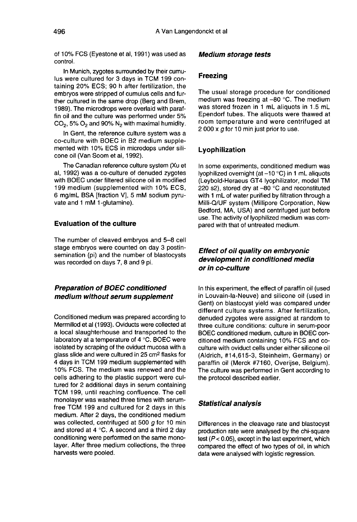of 10% FCS (Eyestone et al, 1991) was used as control.

In Munich, zygotes surrounded by their cumulus were cultured for 3 days in TCM 199 containing 20% ECS; 90 h after fertilization, the embryos were stripped of cumulus cells and further cultured in the same drop (Berg and Brem, 1989). The microdrops were overlaid with paraffin oil and the culture was performed under 5%  $CO<sub>2</sub>$ , 5%  $O<sub>2</sub>$  and 90%  $N<sub>2</sub>$  with maximal humidity.

In Gent, the reference culture system was a co-culture with BOEC in B2 medium supplemented with 10% ECS in microdops under silicone oil (Van Soom et al, 1992).

The Canadian reference culture system (Xu et al, 1992) was a co-culture of denuded zygotes with BOEC under filtered silicone oil in modified 199 medium (supplemented with 10% ECS, 6 mg/mL BSA [fraction V], 5 mM sodium pyruvate and 1 mM 1-glutamine).

#### Evaluation of the culture

The number of cleaved embryos and 5-8 cell stage embryos were counted on day 3 postinsemination (pi) and the number of blastocysts was recorded on days 7, 8 and 9 pi.

# Preparation of BOEC conditioned medium without serum supplement

Conditioned medium was prepared according to Mermillod et al (1993). Oviducts were collected at a local slaughterhouse and transported to the laboratory at a temperature of 4 °C. BOEC were isolated by scraping of the oviduct mucosa with a<br>glass slide and were cultured in 25 cm<sup>2</sup> flasks for 4 days in TCM 199 medium supplemented with 10% FCS. The medium was renewed and the cells adhering to the plastic support were cultured for 2 additional days in serum containing TCM 199, until reaching confluence. The cell monolayer was washed three times with serumfree TCM 199 and cultured for 2 days in this medium. After 2 days, the conditioned medium was collected, centrifuged at 500 g for 10 min and stored at 4 °C. A second and a third 2 day conditioning were performed on the same monolayer. After three medium collections, the three harvests were pooled.

#### Medium storage tests

# Freezing

The usual storage procedure for conditioned medium was freezing at -80 °C. The medium was stored frozen in 1 mL aliquots in 1.5 mL Ependorf tubes. The aliquots were thawed at room temperature and were centrifuged at 2 000 x  $\sigma$  for 10 min just prior to use.

#### Lyophilization

In some experiments, conditioned medium was lyophilized overnight (at  $-10$  °C) in 1 mL aliquots (Leybold-Heraeus GT4 lyophilizator, model TM 220 s2), stored dry at  $-80$  °C and reconstituted with 1 mL of water purified by filtration through a Milli-Q/UF system (Millipore Corporation, New Bedford, MA, USA) and centrifuged just before use. The activity of lyophilized medium was compared with that of untreated medium.

# Effect of oil quality on embryonic development in conditioned media or in co-culture

In this experiment, the effect of paraffin oil (used in Louvain-la-Neuve) and silicone oil (used in Gent) on blastocyst yield was compared under different culture systems. After fertilization, denuded zygotes were assigned at random to three culture conditions: culture in serum-poor BOEC conditioned medium, culture in BOEC conditioned medium containing 10% FCS and coculture with oviduct cells under either silicone oil (Aldrich, #14,615-3, Steinheim, Germany) or paraffin oil (Merck #7160, Overijse, Belgium). The culture was performed in Gent according to the protocol described earlier.

#### Statistical analysis

Differences in the cleavage rate and blastocyst production rate were analysed by the chi-square test  $(P < 0.05)$ , except in the last experiment, which compared the effect of two types of oil, in which data were analysed with logistic regression.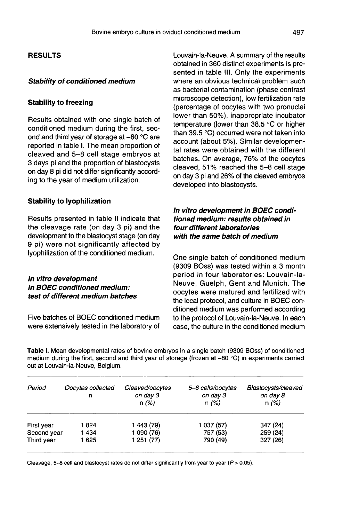# RESULTS

#### Stability of conditioned medium

#### Stability to freezing

Results obtained with one single batch of conditioned medium during the first, second and third year of storage at -80 °C are reported in table I. The mean proportion of cleaved and 5-8 cell stage embryos at 3 days pi and the proportion of blastocysts on day 8 pi did not differ significantly according to the year of medium utilization.

# Stability to lyophilization

Results presented in table II indicate that the cleavage rate (on day 3 pi) and the development to the blastocyst stage (on day 9 pi) were not significantly affected by lyophilization of the conditioned medium.

#### In vitro development in BOEC conditioned medium: test of different medium batches

Five batches of BOEC conditioned medium were extensively tested in the laboratory of Louvain-la-Neuve. A summary of the results obtained in 360 distinct experiments is presented in table III. Only the experiments where an obvious technical problem such as bacterial contamination (phase contrast microscope detection), low fertilization rate (percentage of oocytes with two pronuclei lower than 50%), inappropriate incubator temperature (lower than 38.5 °C or higher than 39.5 °C) occurred were not taken into account (about 5%). Similar developmental rates were obtained with the different batches. On average, 76% of the oocytes cleaved, 51% reached the 5-8 cell stage on day 3 pi and 26% of the cleaved embryos developed into blastocysts.

# In vitro development in BOEC conditioned medium: results obtained in four different laboratories with the same batch of medium

One single batch of conditioned medium (9309 BOss) was tested within a 3 month period in four laboratories: Louvain-la-Neuve, Guelph, Gent and Munich. The oocytes were matured and fertilized with the local protocol, and culture in BOEC conditioned medium was performed according to the protocol of Louvain-la-Neuve. In each case, the culture in the conditioned medium

Table I. Mean developmental rates of bovine embryos in a single batch (9309 BOss) of conditioned medium during the first, second and third year of storage (frozen at -80 °C) in experiments carried out at Louvain-la-Neuve, Belgium,

| Period      | Oocytes collected<br>n | Cleaved/oocytes<br>on day 3<br>n(%) | 5-8 cells/oocytes<br>on day 3<br>n(%) | Blastocysts/cleaved<br>on day 8<br>n(%) |
|-------------|------------------------|-------------------------------------|---------------------------------------|-----------------------------------------|
| First year  | 1824                   | 1 443 (79)                          | 1 037 (57)                            | 347 (24)                                |
| Second year | 1434                   | 1 090 (76)                          | 757 (53)                              | 259 (24)                                |
| Third year  | 1 625                  | 1 251 (77)                          | 790 (49)                              | 327 (26)                                |

Cleavage, 5-8 cell and blastocyst rates do not differ significantly from year to year ( $P > 0.05$ ).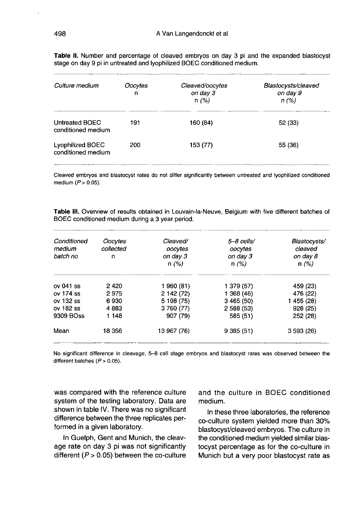| Culture medium                                | Oocytes<br>n | Cleaved/oocytes<br>on day 3<br>n(%) | Blastocysts/cleaved<br>on day 9<br>n(%) |
|-----------------------------------------------|--------------|-------------------------------------|-----------------------------------------|
| Untreated BOEC<br>conditioned medium          | 191          | 160 (84)                            | 52 (33)                                 |
| <b>Lyophilized BOEC</b><br>conditioned medium | 200          | 153 (77)                            | 55 (36)                                 |

Table II. Number and percentage of cleaved embryos on day 3 pi and the expanded blastocyst stage on day 9 pi in untreated and lyophilized BOEC conditioned medium.

Cleaved embryos and blastocyst rates do not differ significantly between untreated and lyophilized conditioned medium  $(P > 0.05)$ .

Table III. Overview of results obtained in Louvain-la-Neuve. Belgium with five different batches of BOEC conditioned medium during a 3 year period.

| Conditioned<br>medium<br>batch no | Oocytes<br>collected<br>n | Cleaved/<br>oocytes<br>on day 3<br>n(%) | 5-8 cells/<br>oocytes<br>on day 3<br>n(%) | Blastocysts/<br>cleaved<br>on day 8<br>n(%) |
|-----------------------------------|---------------------------|-----------------------------------------|-------------------------------------------|---------------------------------------------|
| $ov041$ ss                        | 2420                      | 1 960 (81)                              | 1 379 (57)                                | 459 (23)                                    |
| $ov$ 174 ss                       | 2975                      | 2 142 (72)                              | 1 368 (46)                                | 476 (22)                                    |
| $ov$ 132 ss                       | 6930                      | 5 198 (75)                              | 3465(50)                                  | 1 455 (28)                                  |
| ov 182 ss                         | 4883                      | 3 760 (77)                              | 2 588 (53)                                | 928 (25)                                    |
| 9309 BOss                         | 1 148                     | 907 (79)                                | 585 (51)                                  | 252 (28)                                    |
| Mean                              | 18 356                    | 13 967 (76)                             | 9385(51)                                  | 3593(26)                                    |

No significant difference in cleavage, 5–8 cell stage embryos and blastocyst rates was observed between the different batches  $(P > 0.05)$ .

was compared with the reference culture system of the testing laboratory. Data are shown in table IV. There was no significant difference between the three replicates performed in a given laboratory.

In Guelph, Gent and Munich, the cleavage rate on day 3 pi was not significantly different ( $P > 0.05$ ) between the co-culture and the culture in BOEC conditioned medium.

In these three laboratories, the reference co-culture system yielded more than 30% blastocyst/cleaved embryos. The culture in the conditioned medium yielded similar blastocyst percentage as for the co-culture in Munich but a very poor blastocyst rate as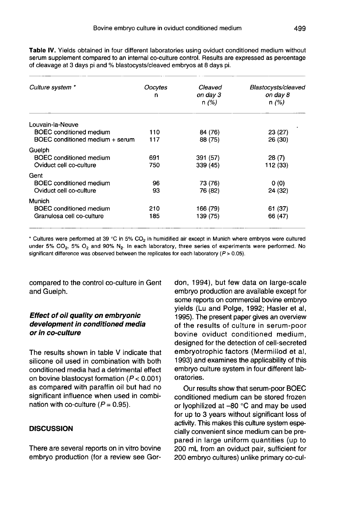Table IV. Yields obtained in four different laboratories using oviduct conditioned medium without serum supplement compared to an internal co-culture control. Besults are expressed as percentage of cleavage at 3 days pi and % blastocysts/cleaved embryos at 8 days pi.

| Culture system *                | Oocytes<br>n | Cleaved<br>on day 3<br>n(%) | Blastocysts/cleaved<br>on day 8<br>n(%) |
|---------------------------------|--------------|-----------------------------|-----------------------------------------|
| Louvain-la-Neuve                |              |                             |                                         |
| <b>BOEC</b> conditioned medium  | 110          | 84 (76)                     | 23 (27)                                 |
| BOEC conditioned medium + serum | 117          | 88 (75)                     | 26 (30)                                 |
| Guelph                          |              |                             |                                         |
| BOEC conditioned medium         | 691          | 391 (57)                    | 28(7)                                   |
| Oviduct cell co-culture         | 750          | 339 (45)                    | 112 (33)                                |
| Gent                            |              |                             |                                         |
| <b>BOEC</b> conditioned medium  | 96           | 73 (76)                     | 0(0)                                    |
| Oviduct cell co-culture         | 93           | 76 (82)                     | 24 (32)                                 |
| Munich                          |              |                             |                                         |
| <b>BOEC</b> conditioned medium  | 210          | 166 (79)                    | 61 (37)                                 |
| Granulosa cell co-culture       | 185          | 139 (75)                    | 66 (47)                                 |

\* Cultures were performed at 39 °C in 5% CO<sub>2</sub> in humidified air except in Munich where embryos were cultured under 5% CO<sub>2</sub>, 5% O<sub>2</sub> and 90% N<sub>2</sub>. In each laboratory, three series of experiments were performed. No significant difference was observed between the replicates for each laboratory ( $P > 0.05$ ).

compared to the control co-culture in Gent and Guelph.

# Effect of oil quality on embryonic development in conditioned media or in co-culture

The results shown in table V indicate that silicone oil used in combination with both conditioned media had a detrimental effect on bovine blastocyst formation  $(P < 0.001)$ as compared with paraffin oil but had no significant influence when used in combination with co-culture ( $P = 0.95$ ).

# **DISCUSSION**

There are several reports on in vitro bovine embryo production (for a review see Gordon, 1994), but few data on large-scale embryo production are available except for some reports on commercial bovine embryo yields (Lu and Polge, 1992; Hasler et al, 1995). The present paper gives an overview of the results of culture in serum-poor bovine oviduct conditioned medium, designed for the detection of cell-secreted embryotrophic factors (Mermillod et al, 1993) and examines the applicability of this embryo culture system in four different laboratories.

Our results show that serum-poor BOEC conditioned medium can be stored frozen or lyophilized at -80 °C and may be used for up to 3 years without significant loss of activity. This makes this culture system especially convenient since medium can be prepared in large uniform quantities (up to 200 mL from an oviduct pair, sufficient for 200 embryo cultures) unlike primary co-cul-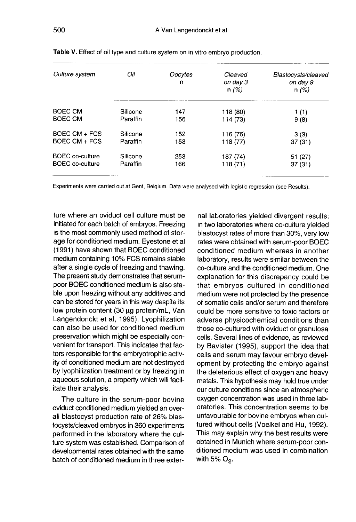| Culture system         | Oil      | Oocytes<br>n | Cleaved<br>on day 3<br>n(%) | Blastocysts/cleaved<br>on day 9<br>n(%) |
|------------------------|----------|--------------|-----------------------------|-----------------------------------------|
| <b>BOEC CM</b>         | Silicone | 147          | 118 (80)                    | 1 (1)                                   |
| BOEC CM                | Paraffin | 156          | 114 (73)                    | 9(8)                                    |
| BOEC CM + FCS          | Silicone | 152          | 116 (76)                    | 3(3)                                    |
| BOEC $CM + FCS$        | Paraffin | 153          | 118 (77)                    | 37(31)                                  |
| <b>BOEC</b> co-culture | Silicone | 253          | 187 (74)                    | 51(27)                                  |
| BOEC co-culture        | Paraffin | 166          | 118 (71)                    | 37 (31)                                 |

Table V. Effect of oil type and culture system on in vitro embryo production.

Experiments were carried out at Gent, Belgium. Data were analysed with logistic regression (see Results).

ture where an oviduct cell culture must be initiated for each batch of embryos. Freezing is the most commonly used method of storage for conditioned medium. Eyestone et al (1991) have shown that BOEC conditioned medium containing 10% FCS remains stable after a single cycle of freezing and thawing. The present study demonstrates that serumpoor BOEC conditioned medium is also stable upon freezing without any additives and can be stored for years in this way despite its low protein content (30 μg protein/mL, Van Langendonckt et al, 1995). Lyophilization can also be used for conditioned medium preservation which might be especially convenient for transport. This indicates that factors responsible for the embryotrophic activity of conditioned medium are not destroyed by lyophilization treatment or by freezing in aqueous solution, a property which will facilitate their analysis.

The culture in the serum-poor bovine oviduct conditioned medium yielded an overall blastocyst production rate of 26% blastocysts/cleaved embryos in 360 experiments performed in the laboratory where the culture system was established. Comparison of developmental rates obtained with the same batch of conditioned medium in three exter-

nal laboratories yielded divergent results: in two laboratories where co-culture yielded blastocyst rates of more than 30%, very low rates were obtained with serum-poor BOEC conditioned medium whereas in another laboratory, results were similar between the co-culture and the conditioned medium. One explanation for this discrepancy could be that embryos cultured in conditioned medium were not protected by the presence of somatic cells and/or serum and therefore could be more sensitive to toxic factors or adverse physicochemical conditions than those co-cultured with oviduct or granulosa cells. Several lines of evidence, as reviewed by Bavister (1995), support the idea that cells and serum may favour embryo development by protecting the embryo against the deleterious effect of oxygen and heavy metals. This hypothesis may hold true under our culture conditions since an atmospheric oxygen concentration was used in three laboratories. This concentration seems to be unfavourable for bovine embryos when cultured without cells (Voelkel and Hu, 1992). This may explain why the best results were obtained in Munich where serum-poor conditioned medium was used in combination with 5%  $O_2$ .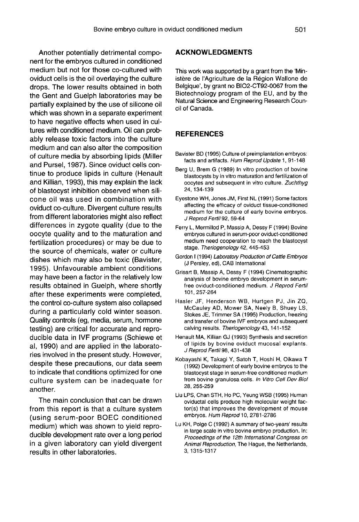Another potentially detrimental component for the embryos cultured in conditioned medium but not for those co-cultured with oviduct cells is the oil overlaying the culture drops. The lower results obtained in both the Gent and Guelph laboratories may be partially explained by the use of silicone oil which was shown in a separate experiment to have negative effects when used in cultures with conditioned medium. Oil can probably release toxic factors into the culture medium and can also alter the composition of culture media by absorbing lipids (Miller and Pursel, 1987). Since oviduct cells continue to produce lipids in culture (Henault and Killian, 1993), this may explain the lack of blastocyst inhibition observed when silicone oil was used in combination with oviduct co-culture. Divergent culture results from different laboratories might also reflect differences in zygote quality (due to the oocyte quality and to the maturation and fertilization procedures) or may be due to the source of chemicals, water or culture dishes which may also be toxic (Bavister, 1995). Unfavourable ambient conditions may have been a factor in the relatively low results obtained in Guelph, where shortly after these experiments were completed, the control co-culture system also collapsed during a particularly cold winter season. Quality controls (eg, media, serum, hormone testing) are critical for accurate and reproducible data in IVF programs (Schiewe et al, 1990) and are applied in the laboratories involved in the present study. However, despite these precautions, our data seem to indicate that conditions optimized for one culture system can be inadequate for another.

The main conclusion that can be drawn from this report is that a culture system (using serum-poor BOEC conditioned medium) which was shown to yield reproducible development rate over a long period in a given laboratory can yield divergent results in other laboratories.

#### ACKNOWLEDGMENTS

This work was supported by a grant from the 'Ministère de l'Agriculture de la Région Wallone de Belgique', by grant no BIO2-CT92-0067 from the Biotechnology program of the EU, and by the Natural Science and Engineering Research Council of Canada.

#### **REFERENCES**

- Bavister BD (1995) Culture of preimplantation embryos: facts and artifacts. Hum Reprod Update 1, 91-148
- Berg U, Brem G (1989) In vitro production of bovine blastocysts by in vitro maturation and fertilization of oocytes and subsequent in vitro culture. Zuchthyg 24, 134-139
- Eyestone WH, Jones JM, First NL (1991) Some factors affecting the efficacy of oviduct tissue-conditioned medium for the culture of early bovine embryos. J Reprod Fertil 92, 59-64
- Ferry L, Mermillod P, Massip A, Dessy F (1994) Bovine embryos cultured in serum-poor oviduct-conditioned medium need cooperation to reach the blastocyst stage. Theriogenology 42, 445-453
- Gordon I (1994) Laboratory Production of Cattle Embryos (J Persley, ed), CAB International
- Grisart B, Massip A, Dessy F (1994) Cinematographic analysis of bovine embryo development in serumfree oviduct-conditioned medium. J Reprod Fertil 101, 257-264
- Hasler JF, Henderson WB, Hurtgen PJ, Jin ZQ, McCauley AD, Mower SA, Neely B, Shuey LS, Stokes JE, Trimmer SA (1995) Production, freezing and transfer of bovine IVF embryos and subsequent calving results. Theriogenology 43, 141-152
- Henault MA, Killian GJ (1993) Synthesis and secretion of lipids by bovine oviduct mucosal explants. J Reprod Fertil98, 431-438
- Kobayashi K, Takagi Y, Satoh T, Hoshi H, Oikawa T (1992) Development of early bovine embryos to the blastocyst stage in serum-free conditioned medium from bovine granulosa cells. In Vitro Cell Dev Biol 28, 255-259
- Liu LPS, Chan STH, Ho PC, Yeung WSB (1995) Human oviductal cells produce high molecular weight factor(s) that improves the development of mouse embryos. Hum Reprod 10, 2781-2786
- Lu KH, Polge C (1992) A summary of two-years' results in large scale in vitro bovine embryo production. In: Proceedings of the 12th International Congress on Animal Reproduction, The Hague, the Netherlands, 3, 1315-1317